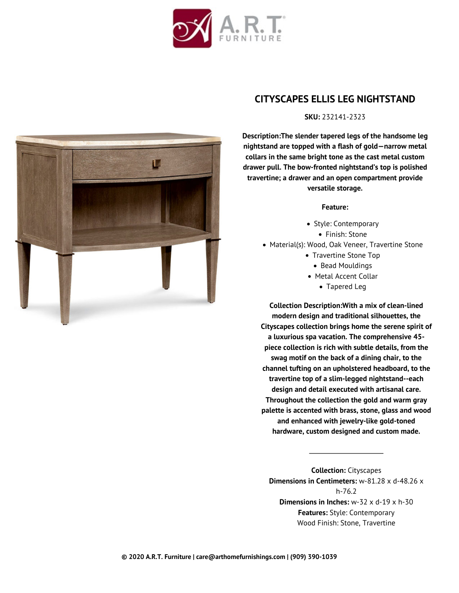



## **CITYSCAPES ELLIS LEG NIGHTSTAND**

## **SKU:** 232141-2323

**Description:The slender tapered legs of the handsome leg nightstand are topped with a flash of gold—narrow metal collars in the same bright tone as the cast metal custom drawer pull. The bow-fronted nightstand's top is polished travertine; a drawer and an open compartment provide versatile storage.**

## **Feature:**

- Style: Contemporary Finish: Stone
- Material(s): Wood, Oak Veneer, Travertine Stone
	- Travertine Stone Top
		- Bead Mouldings
	- Metal Accent Collar
		- Tapered Leg

**Collection Description:With a mix of clean-lined modern design and traditional silhouettes, the Cityscapes collection brings home the serene spirit of a luxurious spa vacation. The comprehensive 45 piece collection is rich with subtle details, from the swag motif on the back of a dining chair, to the channel tufting on an upholstered headboard, to the travertine top of a slim-legged nightstand--each design and detail executed with artisanal care. Throughout the collection the gold and warm gray palette is accented with brass, stone, glass and wood and enhanced with jewelry-like gold-toned hardware, custom designed and custom made.**

**Collection:** Cityscapes **Dimensions in Centimeters:** w-81.28 x d-48.26 x h-76.2 **Dimensions in Inches:** w-32 x d-19 x h-30 **Features:** Style: Contemporary Wood Finish: Stone, Travertine